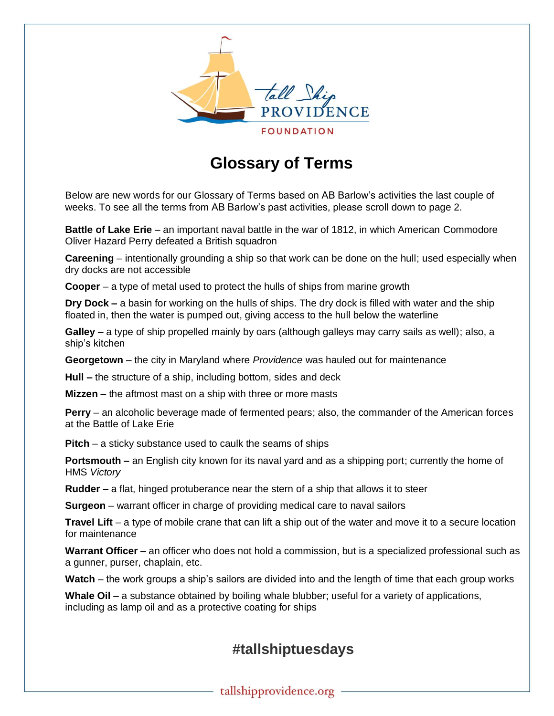

## **Glossary of Terms**

Below are new words for our Glossary of Terms based on AB Barlow's activities the last couple of weeks. To see all the terms from AB Barlow's past activities, please scroll down to page 2.

**Battle of Lake Erie** – an important naval battle in the war of 1812, in which American Commodore Oliver Hazard Perry defeated a British squadron

**Careening** – intentionally grounding a ship so that work can be done on the hull; used especially when dry docks are not accessible

**Cooper** – a type of metal used to protect the hulls of ships from marine growth

**Dry Dock –** a basin for working on the hulls of ships. The dry dock is filled with water and the ship floated in, then the water is pumped out, giving access to the hull below the waterline

**Galley** – a type of ship propelled mainly by oars (although galleys may carry sails as well); also, a ship's kitchen

**Georgetown** – the city in Maryland where *Providence* was hauled out for maintenance

**Hull –** the structure of a ship, including bottom, sides and deck

**Mizzen** – the aftmost mast on a ship with three or more masts

**Perry** – an alcoholic beverage made of fermented pears; also, the commander of the American forces at the Battle of Lake Erie

**Pitch** – a sticky substance used to caulk the seams of ships

**Portsmouth –** an English city known for its naval yard and as a shipping port; currently the home of HMS *Victory*

**Rudder –** a flat, hinged protuberance near the stern of a ship that allows it to steer

**Surgeon** – warrant officer in charge of providing medical care to naval sailors

**Travel Lift** – a type of mobile crane that can lift a ship out of the water and move it to a secure location for maintenance

**Warrant Officer –** an officer who does not hold a commission, but is a specialized professional such as a gunner, purser, chaplain, etc.

**Watch** – the work groups a ship's sailors are divided into and the length of time that each group works

**Whale Oil** – a substance obtained by boiling whale blubber; useful for a variety of applications, including as lamp oil and as a protective coating for ships

## **#tallshiptuesdays**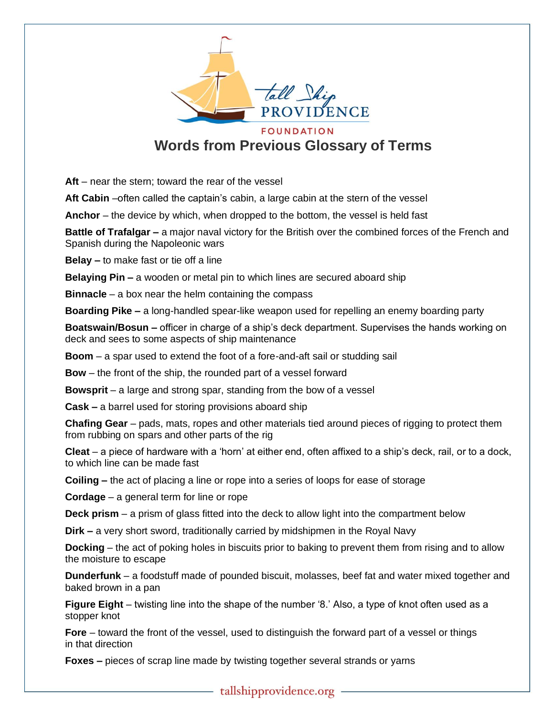

**Words from Previous Glossary of Terms**

**Aft** – near the stern; toward the rear of the vessel

Aft Cabin –often called the captain's cabin, a large cabin at the stern of the vessel

**Anchor** – the device by which, when dropped to the bottom, the vessel is held fast

**Battle of Trafalgar –** a major naval victory for the British over the combined forces of the French and Spanish during the Napoleonic wars

**Belay –** to make fast or tie off a line

**Belaying Pin –** a wooden or metal pin to which lines are secured aboard ship

**Binnacle** – a box near the helm containing the compass

**Boarding Pike –** a long-handled spear-like weapon used for repelling an enemy boarding party

**Boatswain/Bosun –** officer in charge of a ship's deck department. Supervises the hands working on deck and sees to some aspects of ship maintenance

**Boom** – a spar used to extend the foot of a fore-and-aft sail or studding sail

**Bow** – the front of the ship, the rounded part of a vessel forward

**Bowsprit** – a large and strong spar, standing from the bow of a vessel

**Cask –** a barrel used for storing provisions aboard ship

**Chafing Gear** – pads, mats, ropes and other materials tied around pieces of rigging to protect them from rubbing on spars and other parts of the rig

**Cleat** – a piece of hardware with a 'horn' at either end, often affixed to a ship's deck, rail, or to a dock, to which line can be made fast

**Coiling –** the act of placing a line or rope into a series of loops for ease of storage

**Cordage** – a general term for line or rope

**Deck prism** – a prism of glass fitted into the deck to allow light into the compartment below

**Dirk –** a very short sword, traditionally carried by midshipmen in the Royal Navy

**Docking** – the act of poking holes in biscuits prior to baking to prevent them from rising and to allow the moisture to escape

**Dunderfunk** – a foodstuff made of pounded biscuit, molasses, beef fat and water mixed together and baked brown in a pan

**Figure Eight** – twisting line into the shape of the number '8.' Also, a type of knot often used as a stopper knot

**Fore** – toward the front of the vessel, used to distinguish the forward part of a vessel or things in that direction

**Foxes –** pieces of scrap line made by twisting together several strands or yarns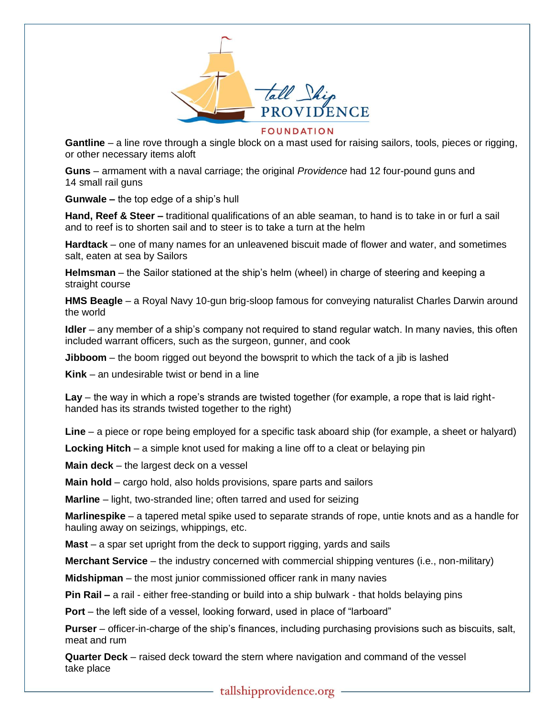

**FOUNDATION** 

**Gantline** – a line rove through a single block on a mast used for raising sailors, tools, pieces or rigging, or other necessary items aloft

**Guns** – armament with a naval carriage; the original *Providence* had 12 four-pound guns and 14 small rail guns

**Gunwale –** the top edge of a ship's hull

**Hand, Reef & Steer –** traditional qualifications of an able seaman, to hand is to take in or furl a sail and to reef is to shorten sail and to steer is to take a turn at the helm

**Hardtack** – one of many names for an unleavened biscuit made of flower and water, and sometimes salt, eaten at sea by Sailors

**Helmsman** – the Sailor stationed at the ship's helm (wheel) in charge of steering and keeping a straight course

**HMS Beagle** – a Royal Navy 10-gun brig-sloop famous for conveying naturalist Charles Darwin around the world

**Idler** – any member of a ship's company not required to stand regular watch. In many navies, this often included warrant officers, such as the surgeon, gunner, and cook

**Jibboom** – the boom rigged out beyond the bowsprit to which the tack of a jib is lashed

**Kink** – an undesirable twist or bend in a line

**Lay** – the way in which a rope's strands are twisted together (for example, a rope that is laid righthanded has its strands twisted together to the right)

**Line** – a piece or rope being employed for a specific task aboard ship (for example, a sheet or halyard)

**Locking Hitch** – a simple knot used for making a line off to a cleat or belaying pin

**Main deck** – the largest deck on a vessel

**Main hold** – cargo hold, also holds provisions, spare parts and sailors

**Marline** – light, two-stranded line; often tarred and used for seizing

**Marlinespike** – a tapered metal spike used to separate strands of rope, untie knots and as a handle for hauling away on seizings, whippings, etc.

**Mast** – a spar set upright from the deck to support rigging, yards and sails

**Merchant Service** – the industry concerned with commercial shipping ventures (i.e., non-military)

**Midshipman** – the most junior commissioned officer rank in many navies

**Pin Rail –** a rail - either free-standing or build into a ship bulwark - that holds belaying pins

**Port** – the left side of a vessel, looking forward, used in place of "larboard"

**Purser** – officer-in-charge of the ship's finances, including purchasing provisions such as biscuits, salt, meat and rum

**Quarter Deck** – raised deck toward the stern where navigation and command of the vessel take place